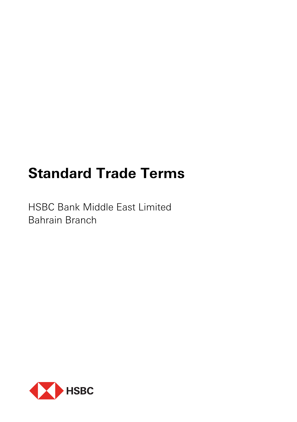# **Standard Trade Terms**

HSBC Bank Middle East Limited Bahrain Branch

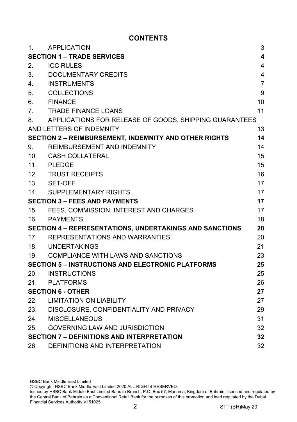# **CONTENTS**

| 1.                                                             | <b>APPLICATION</b>                                           | 3              |
|----------------------------------------------------------------|--------------------------------------------------------------|----------------|
| <b>SECTION 1 - TRADE SERVICES</b>                              |                                                              | 4              |
| 2.                                                             | <b>ICC RULES</b>                                             | 4              |
| 3.                                                             | DOCUMENTARY CREDITS                                          | 4              |
| 4.                                                             | <b>INSTRUMENTS</b>                                           | $\overline{7}$ |
| 5.                                                             | <b>COLLECTIONS</b>                                           | 9              |
| 6.                                                             | <b>FINANCE</b>                                               | 10             |
| 7.                                                             | <b>TRADE FINANCE LOANS</b>                                   | 11             |
| 8.                                                             | APPLICATIONS FOR RELEASE OF GOODS, SHIPPING GUARANTEES       |                |
|                                                                | AND LETTERS OF INDEMNITY                                     | 13             |
|                                                                | <b>SECTION 2 - REIMBURSEMENT, INDEMNITY AND OTHER RIGHTS</b> | 14             |
| 9.                                                             | REIMBURSEMENT AND INDEMNITY                                  | 14             |
| 10 <sub>1</sub>                                                | CASH COLLATERAL                                              | 15             |
| 11 <sub>1</sub>                                                | <b>PLEDGE</b>                                                | 15             |
| 12.                                                            | <b>TRUST RECEIPTS</b>                                        | 16             |
|                                                                | 13. SET-OFF                                                  | 17             |
| 14.                                                            | SUPPLEMENTARY RIGHTS                                         | 17             |
| <b>SECTION 3 - FEES AND PAYMENTS</b>                           |                                                              | 17             |
| 15.                                                            | FEES, COMMISSION, INTEREST AND CHARGES                       | 17             |
| 16.                                                            | <b>PAYMENTS</b>                                              | 18             |
| <b>SECTION 4 - REPRESENTATIONS, UNDERTAKINGS AND SANCTIONS</b> |                                                              | 20             |
| 17.                                                            | REPRESENTATIONS AND WARRANTIES                               | 20             |
| 18.                                                            | UNDERTAKINGS                                                 | 21             |
| 19.                                                            | COMPLIANCE WITH LAWS AND SANCTIONS                           | 23             |
| <b>SECTION 5 - INSTRUCTIONS AND ELECTRONIC PLATFORMS</b><br>25 |                                                              |                |
| 20.                                                            | <b>INSTRUCTIONS</b>                                          | 25             |
| 21.                                                            | <b>PLATFORMS</b>                                             | 26             |
| <b>SECTION 6 - OTHER</b>                                       |                                                              | 27             |
| 22.                                                            | <b>LIMITATION ON LIABILITY</b>                               | 27             |
| 23.                                                            | DISCLOSURE, CONFIDENTIALITY AND PRIVACY                      | 29             |
| 24.                                                            | <b>MISCELLANEOUS</b>                                         | 31             |
| 25.                                                            | <b>GOVERNING LAW AND JURISDICTION</b>                        | 32             |
|                                                                | <b>SECTION 7 - DEFINITIONS AND INTERPRETATION</b><br>32      |                |
| 26.                                                            | DEFINITIONS AND INTERPRETATION                               | 32             |

HSBC Bank Middle East Limited © Copyright. HSBC Bank Middle East Limited 2020 ALL RIGHTS RESERVED.

Issued by HSBC Bank Middle East Limited Bahrain Branch, P.O. Box 57, Manama, Kingdom of Bahrain, licensed and regulated by the Central Bank of Bahrain as a Conventional Retail Bank for the purposes of this promotion and lead regulated by the Dubai Financial Services Authority.V151025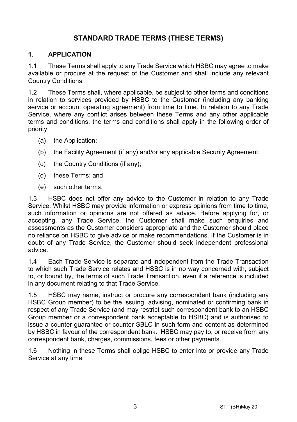# **STANDARD TRADE TERMS (THESE TERMS)**

#### **1. APPLICATION**

1.1 These Terms shall apply to any Trade Service which HSBC may agree to make available or procure at the request of the Customer and shall include any relevant Country Conditions.

1.2 These Terms shall, where applicable, be subject to other terms and conditions in relation to services provided by HSBC to the Customer (including any banking service or account operating agreement) from time to time. In relation to any Trade Service, where any conflict arises between these Terms and any other applicable terms and conditions, the terms and conditions shall apply in the following order of priority:

- (a) the Application;
- (b) the Facility Agreement (if any) and/or any applicable Security Agreement;
- (c) the Country Conditions (if any);
- (d) these Terms; and
- (e) such other terms.

1.3 HSBC does not offer any advice to the Customer in relation to any Trade Service. Whilst HSBC may provide information or express opinions from time to time, such information or opinions are not offered as advice. Before applying for, or accepting, any Trade Service, the Customer shall make such enquiries and assessments as the Customer considers appropriate and the Customer should place no reliance on HSBC to give advice or make recommendations. If the Customer is in doubt of any Trade Service, the Customer should seek independent professional advice.

1.4 Each Trade Service is separate and independent from the Trade Transaction to which such Trade Service relates and HSBC is in no way concerned with, subject to, or bound by, the terms of such Trade Transaction, even if a reference is included in any document relating to that Trade Service.

1.5 HSBC may name, instruct or procure any correspondent bank (including any HSBC Group member) to be the issuing, advising, nominated or confirming bank in respect of any Trade Service (and may restrict such correspondent bank to an HSBC Group member or a correspondent bank acceptable to HSBC) and is authorised to issue a counter-guarantee or counter-SBLC in such form and content as determined by HSBC in favour of the correspondent bank. HSBC may pay to, or receive from any correspondent bank, charges, commissions, fees or other payments.

1.6 Nothing in these Terms shall oblige HSBC to enter into or provide any Trade Service at any time.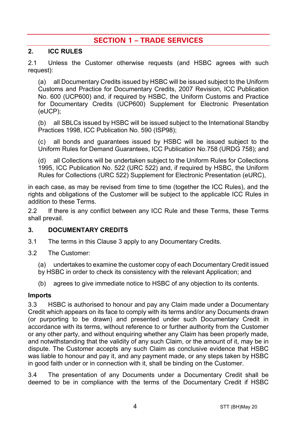# **SECTION 1 – TRADE SERVICES**

#### **2. ICC RULES**

2.1 Unless the Customer otherwise requests (and HSBC agrees with such request):

(a) all Documentary Credits issued by HSBC will be issued subject to the Uniform Customs and Practice for Documentary Credits, 2007 Revision, ICC Publication No. 600 (UCP600) and, if required by HSBC, the Uniform Customs and Practice for Documentary Credits (UCP600) Supplement for Electronic Presentation (eUCP);

(b) all SBLCs issued by HSBC will be issued subject to the International Standby Practices 1998, ICC Publication No. 590 (ISP98);

(c) all bonds and guarantees issued by HSBC will be issued subject to the Uniform Rules for Demand Guarantees, ICC Publication No.758 (URDG 758); and

(d) all Collections will be undertaken subject to the Uniform Rules for Collections 1995, ICC Publication No. 522 (URC 522) and, if required by HSBC, the Uniform Rules for Collections (URC 522) Supplement for Electronic Presentation (eURC),

in each case, as may be revised from time to time (together the ICC Rules), and the rights and obligations of the Customer will be subject to the applicable ICC Rules in addition to these Terms.

2.2 If there is any conflict between any ICC Rule and these Terms, these Terms shall prevail.

#### <span id="page-3-0"></span>**3. DOCUMENTARY CREDITS**

- 3.1 The terms in this Claus[e 3](#page-3-0) apply to any Documentary Credits.
- 3.2 The Customer:
	- (a) undertakes to examine the customer copy of each Documentary Credit issued
	- by HSBC in order to check its consistency with the relevant Application; and
	- (b) agrees to give immediate notice to HSBC of any objection to its contents.

#### **Imports**

3.3 HSBC is authorised to honour and pay any Claim made under a Documentary Credit which appears on its face to comply with its terms and/or any Documents drawn (or purporting to be drawn) and presented under such Documentary Credit in accordance with its terms, without reference to or further authority from the Customer or any other party, and without enquiring whether any Claim has been properly made, and notwithstanding that the validity of any such Claim, or the amount of it, may be in dispute. The Customer accepts any such Claim as conclusive evidence that HSBC was liable to honour and pay it, and any payment made, or any steps taken by HSBC in good faith under or in connection with it, shall be binding on the Customer.

3.4 The presentation of any Documents under a Documentary Credit shall be deemed to be in compliance with the terms of the Documentary Credit if HSBC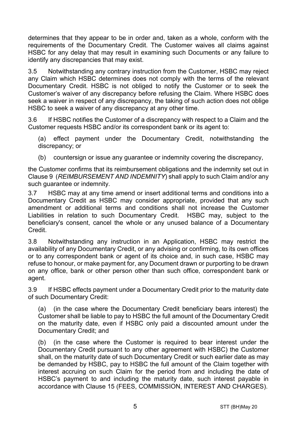determines that they appear to be in order and, taken as a whole, conform with the requirements of the Documentary Credit. The Customer waives all claims against HSBC for any delay that may result in examining such Documents or any failure to identify any discrepancies that may exist.

3.5 Notwithstanding any contrary instruction from the Customer, HSBC may reject any Claim which HSBC determines does not comply with the terms of the relevant Documentary Credit. HSBC is not obliged to notify the Customer or to seek the Customer's waiver of any discrepancy before refusing the Claim. Where HSBC does seek a waiver in respect of any discrepancy, the taking of such action does not oblige HSBC to seek a waiver of any discrepancy at any other time.

3.6 If HSBC notifies the Customer of a discrepancy with respect to a Claim and the Customer requests HSBC and/or its correspondent bank or its agent to:

(a) effect payment under the Documentary Credit, notwithstanding the discrepancy; or

(b) countersign or issue any guarantee or indemnity covering the discrepancy,

the Customer confirms that its reimbursement obligations and the indemnity set out in Claus[e 9](#page-13-0) (*[REIMBURSEMENT AND INDEMNITY](#page-13-0)*) shall apply to such Claim and/or any such guarantee or indemnity.

3.7 HSBC may at any time amend or insert additional terms and conditions into a Documentary Credit as HSBC may consider appropriate, provided that any such amendment or additional terms and conditions shall not increase the Customer Liabilities in relation to such Documentary Credit. HSBC may, subject to the beneficiary's consent, cancel the whole or any unused balance of a Documentary Credit.

3.8 Notwithstanding any instruction in an Application, HSBC may restrict the availability of any Documentary Credit, or any advising or confirming, to its own offices or to any correspondent bank or agent of its choice and, in such case, HSBC may refuse to honour, or make payment for, any Document drawn or purporting to be drawn on any office, bank or other person other than such office, correspondent bank or agent.

3.9 If HSBC effects payment under a Documentary Credit prior to the maturity date of such Documentary Credit:

(a) (in the case where the Documentary Credit beneficiary bears interest) the Customer shall be liable to pay to HSBC the full amount of the Documentary Credit on the maturity date, even if HSBC only paid a discounted amount under the Documentary Credit; and

(b) (in the case where the Customer is required to bear interest under the Documentary Credit pursuant to any other agreement with HSBC) the Customer shall, on the maturity date of such Documentary Credit or such earlier date as may be demanded by HSBC, pay to HSBC the full amount of the Claim together with interest accruing on such Claim for the period from and including the date of HSBC's payment to and including the maturity date, such interest payable in accordance with Clause [15](#page-16-0) [\(FEES, COMMISSION, INTEREST AND CHARGES\)](#page-16-0).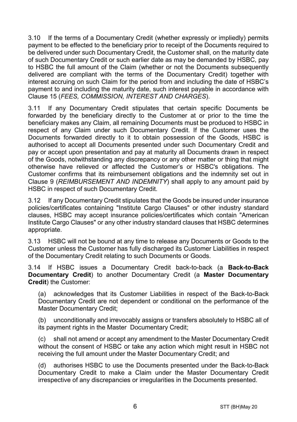3.10 If the terms of a Documentary Credit (whether expressly or impliedly) permits payment to be effected to the beneficiary prior to receipt of the Documents required to be delivered under such Documentary Credit, the Customer shall, on the maturity date of such Documentary Credit or such earlier date as may be demanded by HSBC, pay to HSBC the full amount of the Claim (whether or not the Documents subsequently delivered are compliant with the terms of the Documentary Credit) together with interest accruing on such Claim for the period from and including the date of HSBC's payment to and including the maturity date, such interest payable in accordance with Clause [15](#page-16-0) (*[FEES, COMMISSION, INTEREST AND CHARGES](#page-16-0)*).

3.11 If any Documentary Credit stipulates that certain specific Documents be forwarded by the beneficiary directly to the Customer at or prior to the time the beneficiary makes any Claim, all remaining Documents must be produced to HSBC in respect of any Claim under such Documentary Credit. If the Customer uses the Documents forwarded directly to it to obtain possession of the Goods, HSBC is authorised to accept all Documents presented under such Documentary Credit and pay or accept upon presentation and pay at maturity all Documents drawn in respect of the Goods, notwithstanding any discrepancy or any other matter or thing that might otherwise have relieved or affected the Customer's or HSBC's obligations. The Customer confirms that its reimbursement obligations and the indemnity set out in Clause [9](#page-13-0) (*[REIMBURSEMENT AND INDEMNITY](#page-13-0)*) shall apply to any amount paid by HSBC in respect of such Documentary Credit.

3.12 If any Documentary Credit stipulates that the Goods be insured under insurance policies/certificates containing "Institute Cargo Clauses" or other industry standard clauses, HSBC may accept insurance policies/certificates which contain "American Institute Cargo Clauses" or any other industry standard clauses that HSBC determines appropriate.

3.13 HSBC will not be bound at any time to release any Documents or Goods to the Customer unless the Customer has fully discharged its Customer Liabilities in respect of the Documentary Credit relating to such Documents or Goods.

<span id="page-5-0"></span>3.14 If HSBC issues a Documentary Credit back-to-back (a **Back-to-Back Documentary Credit**) to another Documentary Credit (a **Master Documentary Credit**) the Customer:

(a) acknowledges that its Customer Liabilities in respect of the Back-to-Back Documentary Credit are not dependent or conditional on the performance of the Master Documentary Credit;

(b) unconditionally and irrevocably assigns or transfers absolutely to HSBC all of its payment rights in the Master Documentary Credit;

(c) shall not amend or accept any amendment to the Master Documentary Credit without the consent of HSBC or take any action which might result in HSBC not receiving the full amount under the Master Documentary Credit; and

(d) authorises HSBC to use the Documents presented under the Back-to-Back Documentary Credit to make a Claim under the Master Documentary Credit irrespective of any discrepancies or irregularities in the Documents presented.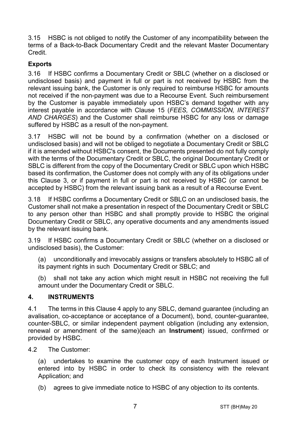3.15 HSBC is not obliged to notify the Customer of any incompatibility between the terms of a Back-to-Back Documentary Credit and the relevant Master Documentary Credit.

# **Exports**

3.16 If HSBC confirms a Documentary Credit or SBLC (whether on a disclosed or undisclosed basis) and payment in full or part is not received by HSBC from the relevant issuing bank, the Customer is only required to reimburse HSBC for amounts not received if the non-payment was due to a Recourse Event. Such reimbursement by the Customer is payable immediately upon HSBC's demand together with any interest payable in accordance with Clause [15](#page-16-0) (*[FEES, COMMISSION, INTEREST](#page-16-0)  [AND CHARGES](#page-16-0)*) and the Customer shall reimburse HSBC for any loss or damage suffered by HSBC as a result of the non-payment.

3.17 HSBC will not be bound by a confirmation (whether on a disclosed or undisclosed basis) and will not be obliged to negotiate a Documentary Credit or SBLC if it is amended without HSBC's consent, the Documents presented do not fully comply with the terms of the Documentary Credit or SBLC, the original Documentary Credit or SBLC is different from the copy of the Documentary Credit or SBLC upon which HSBC based its confirmation, the Customer does not comply with any of its obligations under this Clause [3,](#page-3-0) or if payment in full or part is not received by HSBC (or cannot be accepted by HSBC) from the relevant issuing bank as a result of a Recourse Event.

3.18 If HSBC confirms a Documentary Credit or SBLC on an undisclosed basis, the Customer shall not make a presentation in respect of the Documentary Credit or SBLC to any person other than HSBC and shall promptly provide to HSBC the original Documentary Credit or SBLC, any operative documents and any amendments issued by the relevant issuing bank.

3.19 If HSBC confirms a Documentary Credit or SBLC (whether on a disclosed or undisclosed basis), the Customer:

(a) unconditionally and irrevocably assigns or transfers absolutely to HSBC all of its payment rights in such Documentary Credit or SBLC; and

(b) shall not take any action which might result in HSBC not receiving the full amount under the Documentary Credit or SBLC.

## <span id="page-6-0"></span>**4. INSTRUMENTS**

4.1 The terms in this Clause [4](#page-6-0) apply to any SBLC, demand guarantee (including an avalisation, co-acceptance or acceptance of a Document), bond, counter-guarantee, counter-SBLC, or similar independent payment obligation (including any extension, renewal or amendment of the same)(each an **Instrument**) issued, confirmed or provided by HSBC.

4.2 The Customer:

(a) undertakes to examine the customer copy of each Instrument issued or entered into by HSBC in order to check its consistency with the relevant Application; and

(b) agrees to give immediate notice to HSBC of any objection to its contents.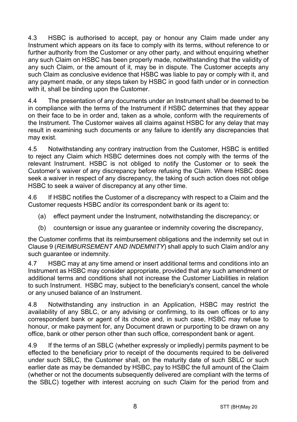4.3 HSBC is authorised to accept, pay or honour any Claim made under any Instrument which appears on its face to comply with its terms, without reference to or further authority from the Customer or any other party, and without enquiring whether any such Claim on HSBC has been properly made, notwithstanding that the validity of any such Claim, or the amount of it, may be in dispute. The Customer accepts any such Claim as conclusive evidence that HSBC was liable to pay or comply with it, and any payment made, or any steps taken by HSBC in good faith under or in connection with it, shall be binding upon the Customer.

4.4 The presentation of any documents under an Instrument shall be deemed to be in compliance with the terms of the Instrument if HSBC determines that they appear on their face to be in order and, taken as a whole, conform with the requirements of the Instrument. The Customer waives all claims against HSBC for any delay that may result in examining such documents or any failure to identify any discrepancies that may exist.

4.5 Notwithstanding any contrary instruction from the Customer, HSBC is entitled to reject any Claim which HSBC determines does not comply with the terms of the relevant Instrument. HSBC is not obliged to notify the Customer or to seek the Customer's waiver of any discrepancy before refusing the Claim. Where HSBC does seek a waiver in respect of any discrepancy, the taking of such action does not oblige HSBC to seek a waiver of discrepancy at any other time.

4.6 If HSBC notifies the Customer of a discrepancy with respect to a Claim and the Customer requests HSBC and/or its correspondent bank or its agent to:

- (a) effect payment under the Instrument, notwithstanding the discrepancy; or
- (b) countersign or issue any guarantee or indemnity covering the discrepancy,

the Customer confirms that its reimbursement obligations and the indemnity set out in Clause [9](#page-13-0) (*[REIMBURSEMENT AND INDEMNITY](#page-13-0)*) shall apply to such Claim and/or any such guarantee or indemnity.

4.7 HSBC may at any time amend or insert additional terms and conditions into an Instrument as HSBC may consider appropriate, provided that any such amendment or additional terms and conditions shall not increase the Customer Liabilities in relation to such Instrument. HSBC may, subject to the beneficiary's consent, cancel the whole or any unused balance of an Instrument.

4.8 Notwithstanding any instruction in an Application, HSBC may restrict the availability of any SBLC, or any advising or confirming, to its own offices or to any correspondent bank or agent of its choice and, in such case, HSBC may refuse to honour, or make payment for, any Document drawn or purporting to be drawn on any office, bank or other person other than such office, correspondent bank or agent.

4.9 If the terms of an SBLC (whether expressly or impliedly) permits payment to be effected to the beneficiary prior to receipt of the documents required to be delivered under such SBLC, the Customer shall, on the maturity date of such SBLC or such earlier date as may be demanded by HSBC, pay to HSBC the full amount of the Claim (whether or not the documents subsequently delivered are compliant with the terms of the SBLC) together with interest accruing on such Claim for the period from and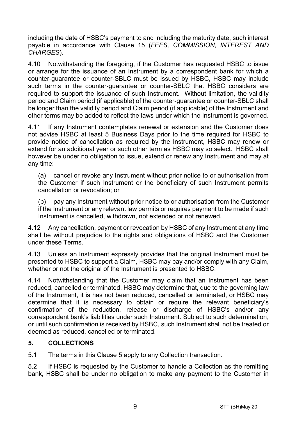including the date of HSBC's payment to and including the maturity date, such interest payable in accordance with Clause [15](#page-16-0) (*[FEES, COMMISSION, INTEREST AND](#page-16-0)  [CHARGES](#page-16-0)*).

4.10 Notwithstanding the foregoing, if the Customer has requested HSBC to issue or arrange for the issuance of an Instrument by a correspondent bank for which a counter-guarantee or counter-SBLC must be issued by HSBC, HSBC may include such terms in the counter-guarantee or counter-SBLC that HSBC considers are required to support the issuance of such Instrument. Without limitation, the validity period and Claim period (if applicable) of the counter-guarantee or counter-SBLC shall be longer than the validity period and Claim period (if applicable) of the Instrument and other terms may be added to reflect the laws under which the Instrument is governed.

4.11 If any Instrument contemplates renewal or extension and the Customer does not advise HSBC at least 5 Business Days prior to the time required for HSBC to provide notice of cancellation as required by the Instrument, HSBC may renew or extend for an additional year or such other term as HSBC may so select. HSBC shall however be under no obligation to issue, extend or renew any Instrument and may at any time:

(a) cancel or revoke any Instrument without prior notice to or authorisation from the Customer if such Instrument or the beneficiary of such Instrument permits cancellation or revocation; or

(b) pay any Instrument without prior notice to or authorisation from the Customer if the Instrument or any relevant law permits or requires payment to be made if such Instrument is cancelled, withdrawn, not extended or not renewed.

4.12 Any cancellation, payment or revocation by HSBC of any Instrument at any time shall be without prejudice to the rights and obligations of HSBC and the Customer under these Terms.

4.13 Unless an Instrument expressly provides that the original Instrument must be presented to HSBC to support a Claim, HSBC may pay and/or comply with any Claim, whether or not the original of the Instrument is presented to HSBC.

4.14 Notwithstanding that the Customer may claim that an Instrument has been reduced, cancelled or terminated, HSBC may determine that, due to the governing law of the Instrument, it is has not been reduced, cancelled or terminated, or HSBC may determine that it is necessary to obtain or require the relevant beneficiary's confirmation of the reduction, release or discharge of HSBC's and/or any correspondent bank's liabilities under such Instrument. Subject to such determination, or until such confirmation is received by HSBC, such Instrument shall not be treated or deemed as reduced, cancelled or terminated.

## <span id="page-8-0"></span>**5. COLLECTIONS**

5.1 The terms in this Claus[e 5](#page-8-0) apply to any Collection transaction.

5.2 If HSBC is requested by the Customer to handle a Collection as the remitting bank, HSBC shall be under no obligation to make any payment to the Customer in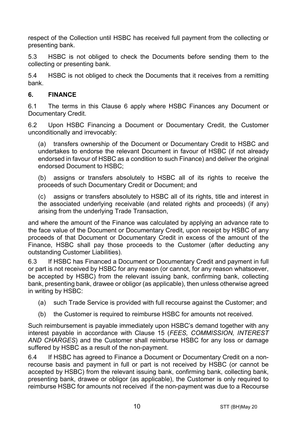respect of the Collection until HSBC has received full payment from the collecting or presenting bank.

5.3 HSBC is not obliged to check the Documents before sending them to the collecting or presenting bank.

5.4 HSBC is not obliged to check the Documents that it receives from a remitting bank.

## <span id="page-9-0"></span>**6. FINANCE**

6.1 The terms in this Clause [6](#page-9-0) apply where HSBC Finances any Document or Documentary Credit.

6.2 Upon HSBC Financing a Document or Documentary Credit, the Customer unconditionally and irrevocably:

(a) transfers ownership of the Document or Documentary Credit to HSBC and undertakes to endorse the relevant Document in favour of HSBC (if not already endorsed in favour of HSBC as a condition to such Finance) and deliver the original endorsed Document to HSBC;

(b) assigns or transfers absolutely to HSBC all of its rights to receive the proceeds of such Documentary Credit or Document; and

(c) assigns or transfers absolutely to HSBC all of its rights, title and interest in the associated underlying receivable (and related rights and proceeds) (if any) arising from the underlying Trade Transaction,

and where the amount of the Finance was calculated by applying an advance rate to the face value of the Document or Documentary Credit, upon receipt by HSBC of any proceeds of that Document or Documentary Credit in excess of the amount of the Finance, HSBC shall pay those proceeds to the Customer (after deducting any outstanding Customer Liabilities).

6.3 If HSBC has Financed a Document or Documentary Credit and payment in full or part is not received by HSBC for any reason (or cannot, for any reason whatsoever, be accepted by HSBC) from the relevant issuing bank, confirming bank, collecting bank, presenting bank, drawee or obligor (as applicable), then unless otherwise agreed in writing by HSBC:

- (a) such Trade Service is provided with full recourse against the Customer; and
- (b) the Customer is required to reimburse HSBC for amounts not received.

Such reimbursement is payable immediately upon HSBC's demand together with any interest payable in accordance with Clause [15](#page-16-0) (*[FEES, COMMISSION, INTEREST](#page-16-0)  [AND CHARGES](#page-16-0)*) and the Customer shall reimburse HSBC for any loss or damage suffered by HSBC as a result of the non-payment.

6.4 If HSBC has agreed to Finance a Document or Documentary Credit on a nonrecourse basis and payment in full or part is not received by HSBC (or cannot be accepted by HSBC) from the relevant issuing bank, confirming bank, collecting bank, presenting bank, drawee or obligor (as applicable), the Customer is only required to reimburse HSBC for amounts not received if the non-payment was due to a Recourse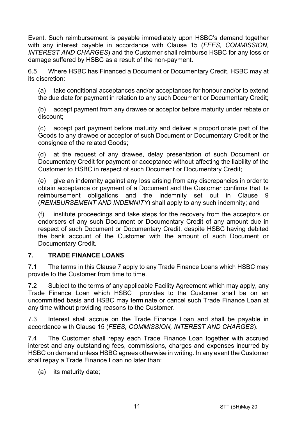Event. Such reimbursement is payable immediately upon HSBC's demand together with any interest payable in accordance with Clause [15](#page-16-0) (*[FEES, COMMISSION,](#page-16-0)  [INTEREST AND CHARGES](#page-16-0)*) and the Customer shall reimburse HSBC for any loss or damage suffered by HSBC as a result of the non-payment.

6.5 Where HSBC has Financed a Document or Documentary Credit, HSBC may at its discretion:

(a) take conditional acceptances and/or acceptances for honour and/or to extend the due date for payment in relation to any such Document or Documentary Credit;

(b) accept payment from any drawee or acceptor before maturity under rebate or discount;

(c) accept part payment before maturity and deliver a proportionate part of the Goods to any drawee or acceptor of such Document or Documentary Credit or the consignee of the related Goods;

(d) at the request of any drawee, delay presentation of such Document or Documentary Credit for payment or acceptance without affecting the liability of the Customer to HSBC in respect of such Document or Documentary Credit;

(e) give an indemnity against any loss arising from any discrepancies in order to obtain acceptance or payment of a Document and the Customer confirms that its reimbursement obligations and the indemnity set out in Clause [9](#page-13-0) (*[REIMBURSEMENT AND INDEMNITY](#page-13-0)*) shall apply to any such indemnity; and

(f) institute proceedings and take steps for the recovery from the acceptors or endorsers of any such Document or Documentary Credit of any amount due in respect of such Document or Documentary Credit, despite HSBC having debited the bank account of the Customer with the amount of such Document or Documentary Credit.

## <span id="page-10-0"></span>**7. TRADE FINANCE LOANS**

7.1 The terms in this Clause [7](#page-10-0) apply to any Trade Finance Loans which HSBC may provide to the Customer from time to time.

7.2 Subject to the terms of any applicable Facility Agreement which may apply, any Trade Finance Loan which HSBC provides to the Customer shall be on an uncommitted basis and HSBC may terminate or cancel such Trade Finance Loan at any time without providing reasons to the Customer.

7.3 Interest shall accrue on the Trade Finance Loan and shall be payable in accordance with Clause [15](#page-16-0) (*[FEES, COMMISSION, INTEREST AND CHARGES](#page-16-0)*).

7.4 The Customer shall repay each Trade Finance Loan together with accrued interest and any outstanding fees, commissions, charges and expenses incurred by HSBC on demand unless HSBC agrees otherwise in writing. In any event the Customer shall repay a Trade Finance Loan no later than:

(a) its maturity date;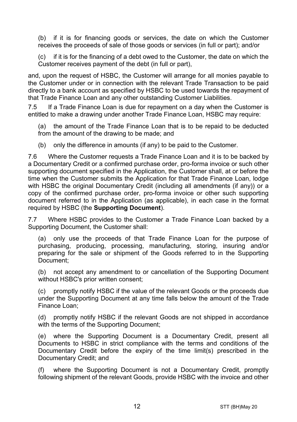(b) if it is for financing goods or services, the date on which the Customer receives the proceeds of sale of those goods or services (in full or part); and/or

(c) if it is for the financing of a debt owed to the Customer, the date on which the Customer receives payment of the debt (in full or part),

and, upon the request of HSBC, the Customer will arrange for all monies payable to the Customer under or in connection with the relevant Trade Transaction to be paid directly to a bank account as specified by HSBC to be used towards the repayment of that Trade Finance Loan and any other outstanding Customer Liabilities.

7.5 If a Trade Finance Loan is due for repayment on a day when the Customer is entitled to make a drawing under another Trade Finance Loan, HSBC may require:

(a) the amount of the Trade Finance Loan that is to be repaid to be deducted from the amount of the drawing to be made; and

(b) only the difference in amounts (if any) to be paid to the Customer.

7.6 Where the Customer requests a Trade Finance Loan and it is to be backed by a Documentary Credit or a confirmed purchase order, pro-forma invoice or such other supporting document specified in the Application, the Customer shall, at or before the time when the Customer submits the Application for that Trade Finance Loan, lodge with HSBC the original Documentary Credit (including all amendments (if any)) or a copy of the confirmed purchase order, pro-forma invoice or other such supporting document referred to in the Application (as applicable), in each case in the format required by HSBC (the **Supporting Document**).

7.7 Where HSBC provides to the Customer a Trade Finance Loan backed by a Supporting Document, the Customer shall:

(a) only use the proceeds of that Trade Finance Loan for the purpose of purchasing, producing, processing, manufacturing, storing, insuring and/or preparing for the sale or shipment of the Goods referred to in the Supporting Document;

(b) not accept any amendment to or cancellation of the Supporting Document without HSBC's prior written consent;

(c) promptly notify HSBC if the value of the relevant Goods or the proceeds due under the Supporting Document at any time falls below the amount of the Trade Finance Loan;

(d) promptly notify HSBC if the relevant Goods are not shipped in accordance with the terms of the Supporting Document;

(e) where the Supporting Document is a Documentary Credit, present all Documents to HSBC in strict compliance with the terms and conditions of the Documentary Credit before the expiry of the time limit(s) prescribed in the Documentary Credit; and

(f) where the Supporting Document is not a Documentary Credit, promptly following shipment of the relevant Goods, provide HSBC with the invoice and other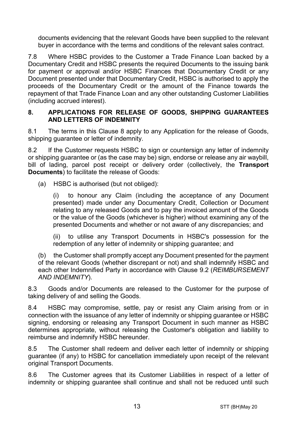documents evidencing that the relevant Goods have been supplied to the relevant buyer in accordance with the terms and conditions of the relevant sales contract.

7.8 Where HSBC provides to the Customer a Trade Finance Loan backed by a Documentary Credit and HSBC presents the required Documents to the issuing bank for payment or approval and/or HSBC Finances that Documentary Credit or any Document presented under that Documentary Credit, HSBC is authorised to apply the proceeds of the Documentary Credit or the amount of the Finance towards the repayment of that Trade Finance Loan and any other outstanding Customer Liabilities (including accrued interest).

#### <span id="page-12-0"></span>**8. APPLICATIONS FOR RELEASE OF GOODS, SHIPPING GUARANTEES AND LETTERS OF INDEMNITY**

8.1 The terms in this Clause [8](#page-12-0) apply to any Application for the release of Goods, shipping quarantee or letter of indemnity.

8.2 If the Customer requests HSBC to sign or countersign any letter of indemnity or shipping guarantee or (as the case may be) sign, endorse or release any air waybill, bill of lading, parcel post receipt or delivery order (collectively, the **Transport Documents**) to facilitate the release of Goods:

(a) HSBC is authorised (but not obliged):

(i) to honour any Claim (including the acceptance of any Document presented) made under any Documentary Credit, Collection or Document relating to any released Goods and to pay the invoiced amount of the Goods or the value of the Goods (whichever is higher) without examining any of the presented Documents and whether or not aware of any discrepancies; and

(ii) to utilise any Transport Documents in HSBC's possession for the redemption of any letter of indemnity or shipping guarantee; and

(b) the Customer shall promptly accept any Document presented for the payment of the relevant Goods (whether discrepant or not) and shall indemnify HSBC and each other Indemnified Party in accordance with Clause [9.2](#page-13-1) (*[REIMBURSEMENT](#page-13-0)  [AND INDEMNITY](#page-13-0)*).

8.3 Goods and/or Documents are released to the Customer for the purpose of taking delivery of and selling the Goods.

8.4 HSBC may compromise, settle, pay or resist any Claim arising from or in connection with the issuance of any letter of indemnity or shipping guarantee or HSBC signing, endorsing or releasing any Transport Document in such manner as HSBC determines appropriate, without releasing the Customer's obligation and liability to reimburse and indemnify HSBC hereunder.

8.5 The Customer shall redeem and deliver each letter of indemnity or shipping guarantee (if any) to HSBC for cancellation immediately upon receipt of the relevant original Transport Documents.

8.6 The Customer agrees that its Customer Liabilities in respect of a letter of indemnity or shipping guarantee shall continue and shall not be reduced until such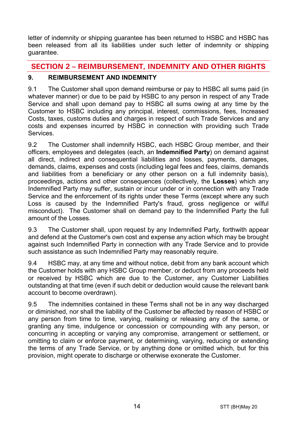letter of indemnity or shipping guarantee has been returned to HSBC and HSBC has been released from all its liabilities under such letter of indemnity or shipping guarantee.

# **SECTION 2 – REIMBURSEMENT, INDEMNITY AND OTHER RIGHTS**

# <span id="page-13-0"></span>**9. REIMBURSEMENT AND INDEMNITY**

9.1 The Customer shall upon demand reimburse or pay to HSBC all sums paid (in whatever manner) or due to be paid by HSBC to any person in respect of any Trade Service and shall upon demand pay to HSBC all sums owing at any time by the Customer to HSBC including any principal, interest, commissions, fees, Increased Costs, taxes, customs duties and charges in respect of such Trade Services and any costs and expenses incurred by HSBC in connection with providing such Trade **Services** 

<span id="page-13-1"></span>9.2 The Customer shall indemnify HSBC, each HSBC Group member, and their officers, employees and delegates (each, an **Indemnified Party**) on demand against all direct, indirect and consequential liabilities and losses, payments, damages, demands, claims, expenses and costs (including legal fees and fees, claims, demands and liabilities from a beneficiary or any other person on a full indemnity basis), proceedings, actions and other consequences (collectively, the **Losses**) which any Indemnified Party may suffer, sustain or incur under or in connection with any Trade Service and the enforcement of its rights under these Terms (except where any such Loss is caused by the Indemnified Party's fraud, gross negligence or wilful misconduct). The Customer shall on demand pay to the Indemnified Party the full amount of the Losses.

9.3 The Customer shall, upon request by any Indemnified Party, forthwith appear and defend at the Customer's own cost and expense any action which may be brought against such Indemnified Party in connection with any Trade Service and to provide such assistance as such Indemnified Party may reasonably require.

9.4 HSBC may, at any time and without notice, debit from any bank account which the Customer holds with any HSBC Group member, or deduct from any proceeds held or received by HSBC which are due to the Customer, any Customer Liabilities outstanding at that time (even if such debit or deduction would cause the relevant bank account to become overdrawn).

9.5 The indemnities contained in these Terms shall not be in any way discharged or diminished, nor shall the liability of the Customer be affected by reason of HSBC or any person from time to time, varying, realising or releasing any of the same, or granting any time, indulgence or concession or compounding with any person, or concurring in accepting or varying any compromise, arrangement or settlement, or omitting to claim or enforce payment, or determining, varying, reducing or extending the terms of any Trade Service, or by anything done or omitted which, but for this provision, might operate to discharge or otherwise exonerate the Customer.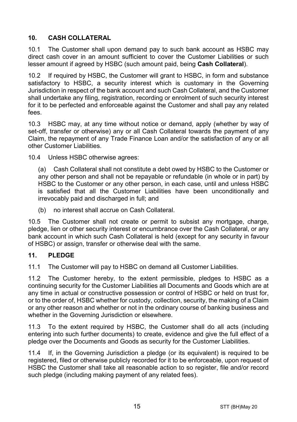# <span id="page-14-1"></span>**10. CASH COLLATERAL**

10.1 The Customer shall upon demand pay to such bank account as HSBC may direct cash cover in an amount sufficient to cover the Customer Liabilities or such lesser amount if agreed by HSBC (such amount paid, being **Cash Collateral**).

10.2 If required by HSBC, the Customer will grant to HSBC, in form and substance satisfactory to HSBC, a security interest which is customary in the Governing Jurisdiction in respect of the bank account and such Cash Collateral, and the Customer shall undertake any filing, registration, recording or enrolment of such security interest for it to be perfected and enforceable against the Customer and shall pay any related fees.

10.3 HSBC may, at any time without notice or demand, apply (whether by way of set-off, transfer or otherwise) any or all Cash Collateral towards the payment of any Claim, the repayment of any Trade Finance Loan and/or the satisfaction of any or all other Customer Liabilities.

10.4 Unless HSBC otherwise agrees:

(a) Cash Collateral shall not constitute a debt owed by HSBC to the Customer or any other person and shall not be repayable or refundable (in whole or in part) by HSBC to the Customer or any other person, in each case, until and unless HSBC is satisfied that all the Customer Liabilities have been unconditionally and irrevocably paid and discharged in full; and

(b) no interest shall accrue on Cash Collateral.

10.5 The Customer shall not create or permit to subsist any mortgage, charge, pledge, lien or other security interest or encumbrance over the Cash Collateral, or any bank account in which such Cash Collateral is held (except for any security in favour of HSBC) or assign, transfer or otherwise deal with the same.

## <span id="page-14-0"></span>**11. PLEDGE**

11.1 The Customer will pay to HSBC on demand all Customer Liabilities.

11.2 The Customer hereby, to the extent permissible, pledges to HSBC as a continuing security for the Customer Liabilities all Documents and Goods which are at any time in actual or constructive possession or control of HSBC or held on trust for, or to the order of, HSBC whether for custody, collection, security, the making of a Claim or any other reason and whether or not in the ordinary course of banking business and whether in the Governing Jurisdiction or elsewhere.

11.3 To the extent required by HSBC, the Customer shall do all acts (including entering into such further documents) to create, evidence and give the full effect of a pledge over the Documents and Goods as security for the Customer Liabilities.

11.4 If, in the Governing Jurisdiction a pledge (or its equivalent) is required to be registered, filed or otherwise publicly recorded for it to be enforceable, upon request of HSBC the Customer shall take all reasonable action to so register, file and/or record such pledge (including making payment of any related fees).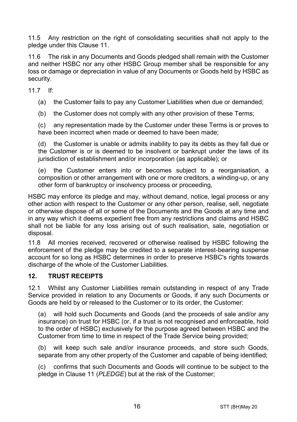11.5 Any restriction on the right of consolidating securities shall not apply to the pledge under this Clause [11.](#page-14-0)

11.6 The risk in any Documents and Goods pledged shall remain with the Customer and neither HSBC nor any other HSBC Group member shall be responsible for any loss or damage or depreciation in value of any Documents or Goods held by HSBC as security.

11.7 If:

(a) the Customer fails to pay any Customer Liabilities when due or demanded;

(b) the Customer does not comply with any other provision of these Terms;

(c) any representation made by the Customer under these Terms is or proves to have been incorrect when made or deemed to have been made;

(d) the Customer is unable or admits inability to pay its debts as they fall due or the Customer is or is deemed to be insolvent or bankrupt under the laws of its jurisdiction of establishment and/or incorporation (as applicable); or

(e) the Customer enters into or becomes subject to a reorganisation, a composition or other arrangement with one or more creditors, a winding-up, or any other form of bankruptcy or insolvency process or proceeding,

HSBC may enforce its pledge and may, without demand, notice, legal process or any other action with respect to the Customer or any other person, realise, sell, negotiate or otherwise dispose of all or some of the Documents and the Goods at any time and in any way which it deems expedient free from any restrictions and claims and HSBC shall not be liable for any loss arising out of such realisation, sale, negotiation or disposal.

11.8 All monies received, recovered or otherwise realised by HSBC following the enforcement of the pledge may be credited to a separate interest-bearing suspense account for so long as HSBC determines in order to preserve HSBC's rights towards discharge of the whole of the Customer Liabilities.

## **12. TRUST RECEIPTS**

12.1 Whilst any Customer Liabilities remain outstanding in respect of any Trade Service provided in relation to any Documents or Goods, if any such Documents or Goods are held by or released to the Customer or to its order, the Customer:

(a) will hold such Documents and Goods (and the proceeds of sale and/or any insurance) on trust for HSBC (or, if a trust is not recognised and enforceable, hold to the order of HSBC) exclusively for the purpose agreed between HSBC and the Customer from time to time in respect of the Trade Service being provided;

(b) will keep such sale and/or insurance proceeds, and store such Goods, separate from any other property of the Customer and capable of being identified;

(c) confirms that such Documents and Goods will continue to be subject to the pledge in Claus[e 11](#page-14-0) (*[PLEDGE](#page-14-0)*) but at the risk of the Customer;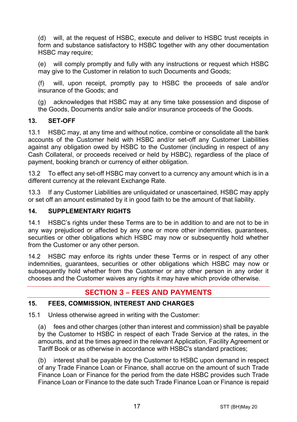(d) will, at the request of HSBC, execute and deliver to HSBC trust receipts in form and substance satisfactory to HSBC together with any other documentation HSBC may require:

(e) will comply promptly and fully with any instructions or request which HSBC may give to the Customer in relation to such Documents and Goods;

(f) will, upon receipt, promptly pay to HSBC the proceeds of sale and/or insurance of the Goods; and

(g) acknowledges that HSBC may at any time take possession and dispose of the Goods, Documents and/or sale and/or insurance proceeds of the Goods.

## **13. SET-OFF**

13.1 HSBC may, at any time and without notice, combine or consolidate all the bank accounts of the Customer held with HSBC and/or set-off any Customer Liabilities against any obligation owed by HSBC to the Customer (including in respect of any Cash Collateral, or proceeds received or held by HSBC), regardless of the place of payment, booking branch or currency of either obligation.

13.2 To effect any set-off HSBC may convert to a currency any amount which is in a different currency at the relevant Exchange Rate.

13.3 If any Customer Liabilities are unliquidated or unascertained, HSBC may apply or set off an amount estimated by it in good faith to be the amount of that liability.

## **14. SUPPLEMENTARY RIGHTS**

14.1 HSBC's rights under these Terms are to be in addition to and are not to be in any way prejudiced or affected by any one or more other indemnities, guarantees, securities or other obligations which HSBC may now or subsequently hold whether from the Customer or any other person.

14.2 HSBC may enforce its rights under these Terms or in respect of any other indemnities, guarantees, securities or other obligations which HSBC may now or subsequently hold whether from the Customer or any other person in any order it chooses and the Customer waives any rights it may have which provide otherwise.

# **SECTION 3 – FEES AND PAYMENTS**

## <span id="page-16-0"></span>**15. FEES, COMMISSION, INTEREST AND CHARGES**

15.1 Unless otherwise agreed in writing with the Customer:

(a) fees and other charges (other than interest and commission) shall be payable by the Customer to HSBC in respect of each Trade Service at the rates, in the amounts, and at the times agreed in the relevant Application, Facility Agreement or Tariff Book or as otherwise in accordance with HSBC's standard practices;

(b) interest shall be payable by the Customer to HSBC upon demand in respect of any Trade Finance Loan or Finance, shall accrue on the amount of such Trade Finance Loan or Finance for the period from the date HSBC provides such Trade Finance Loan or Finance to the date such Trade Finance Loan or Finance is repaid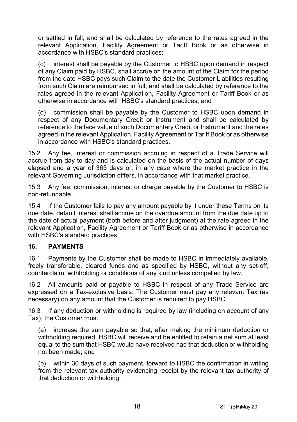or settled in full, and shall be calculated by reference to the rates agreed in the relevant Application, Facility Agreement or Tariff Book or as otherwise in accordance with HSBC's standard practices;

(c) interest shall be payable by the Customer to HSBC upon demand in respect of any Claim paid by HSBC, shall accrue on the amount of the Claim for the period from the date HSBC pays such Claim to the date the Customer Liabilities resulting from such Claim are reimbursed in full, and shall be calculated by reference to the rates agreed in the relevant Application, Facility Agreement or Tariff Book or as otherwise in accordance with HSBC's standard practices; and

(d) commission shall be payable by the Customer to HSBC upon demand in respect of any Documentary Credit or Instrument and shall be calculated by reference to the face value of such Documentary Credit or Instrument and the rates agreed in the relevant Application, Facility Agreement or Tariff Book or as otherwise in accordance with HSBC's standard practices.

15.2 Any fee, interest or commission accruing in respect of a Trade Service will accrue from day to day and is calculated on the basis of the actual number of days elapsed and a year of 365 days or, in any case where the market practice in the relevant Governing Jurisdiction differs, in accordance with that market practice.

15.3 Any fee, commission, interest or charge payable by the Customer to HSBC is non-refundable.

15.4 If the Customer fails to pay any amount payable by it under these Terms on its due date, default interest shall accrue on the overdue amount from the due date up to the date of actual payment (both before and after judgment) at the rate agreed in the relevant Application, Facility Agreement or Tariff Book or as otherwise in accordance with HSBC's standard practices.

## **16. PAYMENTS**

16.1 Payments by the Customer shall be made to HSBC in immediately available, freely transferable, cleared funds and as specified by HSBC, without any set-off, counterclaim, withholding or conditions of any kind unless compelled by law.

16.2 All amounts paid or payable to HSBC in respect of any Trade Service are expressed on a Tax-exclusive basis. The Customer must pay any relevant Tax (as necessary) on any amount that the Customer is required to pay HSBC.

16.3 If any deduction or withholding is required by law (including on account of any Tax), the Customer must:

(a) increase the sum payable so that, after making the minimum deduction or withholding required, HSBC will receive and be entitled to retain a net sum at least equal to the sum that HSBC would have received had that deduction or withholding not been made; and

(b) within 30 days of such payment, forward to HSBC the confirmation in writing from the relevant tax authority evidencing receipt by the relevant tax authority of that deduction or withholding.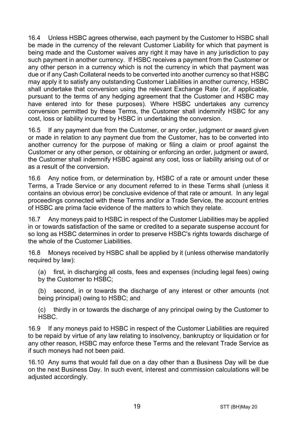16.4 Unless HSBC agrees otherwise, each payment by the Customer to HSBC shall be made in the currency of the relevant Customer Liability for which that payment is being made and the Customer waives any right it may have in any jurisdiction to pay such payment in another currency. If HSBC receives a payment from the Customer or any other person in a currency which is not the currency in which that payment was due or if any Cash Collateral needs to be converted into another currency so that HSBC may apply it to satisfy any outstanding Customer Liabilities in another currency, HSBC shall undertake that conversion using the relevant Exchange Rate (or, if applicable, pursuant to the terms of any hedging agreement that the Customer and HSBC may have entered into for these purposes). Where HSBC undertakes any currency conversion permitted by these Terms, the Customer shall indemnify HSBC for any cost, loss or liability incurred by HSBC in undertaking the conversion.

16.5 If any payment due from the Customer, or any order, judgment or award given or made in relation to any payment due from the Customer, has to be converted into another currency for the purpose of making or filing a claim or proof against the Customer or any other person, or obtaining or enforcing an order, judgment or award, the Customer shall indemnify HSBC against any cost, loss or liability arising out of or as a result of the conversion.

16.6 Any notice from, or determination by, HSBC of a rate or amount under these Terms, a Trade Service or any document referred to in these Terms shall (unless it contains an obvious error) be conclusive evidence of that rate or amount. In any legal proceedings connected with these Terms and/or a Trade Service, the account entries of HSBC are prima facie evidence of the matters to which they relate.

16.7 Any moneys paid to HSBC in respect of the Customer Liabilities may be applied in or towards satisfaction of the same or credited to a separate suspense account for so long as HSBC determines in order to preserve HSBC's rights towards discharge of the whole of the Customer Liabilities.

16.8 Moneys received by HSBC shall be applied by it (unless otherwise mandatorily required by law):

(a) first, in discharging all costs, fees and expenses (including legal fees) owing by the Customer to HSBC;

(b) second, in or towards the discharge of any interest or other amounts (not being principal) owing to HSBC; and

(c) thirdly in or towards the discharge of any principal owing by the Customer to HSBC.

16.9 If any moneys paid to HSBC in respect of the Customer Liabilities are required to be repaid by virtue of any law relating to insolvency, bankruptcy or liquidation or for any other reason, HSBC may enforce these Terms and the relevant Trade Service as if such moneys had not been paid.

16.10 Any sums that would fall due on a day other than a Business Day will be due on the next Business Day. In such event, interest and commission calculations will be adjusted accordingly.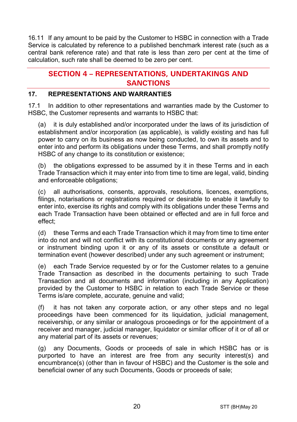16.11 If any amount to be paid by the Customer to HSBC in connection with a Trade Service is calculated by reference to a published benchmark interest rate (such as a central bank reference rate) and that rate is less than zero per cent at the time of calculation, such rate shall be deemed to be zero per cent.

# **SECTION 4 – REPRESENTATIONS, UNDERTAKINGS AND SANCTIONS**

## **17. REPRESENTATIONS AND WARRANTIES**

17.1 In addition to other representations and warranties made by the Customer to HSBC, the Customer represents and warrants to HSBC that:

(a) it is duly established and/or incorporated under the laws of its jurisdiction of establishment and/or incorporation (as applicable), is validly existing and has full power to carry on its business as now being conducted, to own its assets and to enter into and perform its obligations under these Terms, and shall promptly notify HSBC of any change to its constitution or existence;

(b) the obligations expressed to be assumed by it in these Terms and in each Trade Transaction which it may enter into from time to time are legal, valid, binding and enforceable obligations;

(c) all authorisations, consents, approvals, resolutions, licences, exemptions, filings, notarisations or registrations required or desirable to enable it lawfully to enter into, exercise its rights and comply with its obligations under these Terms and each Trade Transaction have been obtained or effected and are in full force and effect;

(d) these Terms and each Trade Transaction which it may from time to time enter into do not and will not conflict with its constitutional documents or any agreement or instrument binding upon it or any of its assets or constitute a default or termination event (however described) under any such agreement or instrument;

(e) each Trade Service requested by or for the Customer relates to a genuine Trade Transaction as described in the documents pertaining to such Trade Transaction and all documents and information (including in any Application) provided by the Customer to HSBC in relation to each Trade Service or these Terms is/are complete, accurate, genuine and valid;

(f) it has not taken any corporate action, or any other steps and no legal proceedings have been commenced for its liquidation, judicial management, receivership, or any similar or analogous proceedings or for the appointment of a receiver and manager, judicial manager, liquidator or similar officer of it or of all or any material part of its assets or revenues;

(g) any Documents, Goods or proceeds of sale in which HSBC has or is purported to have an interest are free from any security interest(s) and encumbrance(s) (other than in favour of HSBC) and the Customer is the sole and beneficial owner of any such Documents, Goods or proceeds of sale;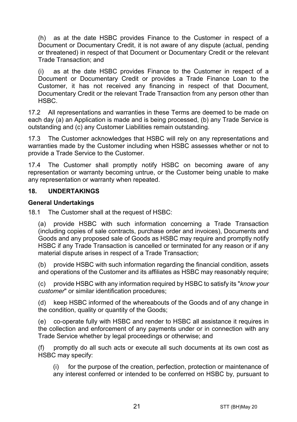(h) as at the date HSBC provides Finance to the Customer in respect of a Document or Documentary Credit, it is not aware of any dispute (actual, pending or threatened) in respect of that Document or Documentary Credit or the relevant Trade Transaction; and

(i) as at the date HSBC provides Finance to the Customer in respect of a Document or Documentary Credit or provides a Trade Finance Loan to the Customer, it has not received any financing in respect of that Document, Documentary Credit or the relevant Trade Transaction from any person other than HSBC.

17.2 All representations and warranties in these Terms are deemed to be made on each day (a) an Application is made and is being processed, (b) any Trade Service is outstanding and (c) any Customer Liabilities remain outstanding.

17.3 The Customer acknowledges that HSBC will rely on any representations and warranties made by the Customer including when HSBC assesses whether or not to provide a Trade Service to the Customer.

17.4 The Customer shall promptly notify HSBC on becoming aware of any representation or warranty becoming untrue, or the Customer being unable to make any representation or warranty when repeated.

#### **18. UNDERTAKINGS**

#### **General Undertakings**

18.1 The Customer shall at the request of HSBC:

(a) provide HSBC with such information concerning a Trade Transaction (including copies of sale contracts, purchase order and invoices), Documents and Goods and any proposed sale of Goods as HSBC may require and promptly notify HSBC if any Trade Transaction is cancelled or terminated for any reason or if any material dispute arises in respect of a Trade Transaction;

(b) provide HSBC with such information regarding the financial condition, assets and operations of the Customer and its affiliates as HSBC may reasonably require;

(c) provide HSBC with any information required by HSBC to satisfy its "*know your customer*" or similar identification procedures;

(d) keep HSBC informed of the whereabouts of the Goods and of any change in the condition, quality or quantity of the Goods;

(e) co-operate fully with HSBC and render to HSBC all assistance it requires in the collection and enforcement of any payments under or in connection with any Trade Service whether by legal proceedings or otherwise; and

(f) promptly do all such acts or execute all such documents at its own cost as HSBC may specify:

(i) for the purpose of the creation, perfection, protection or maintenance of any interest conferred or intended to be conferred on HSBC by, pursuant to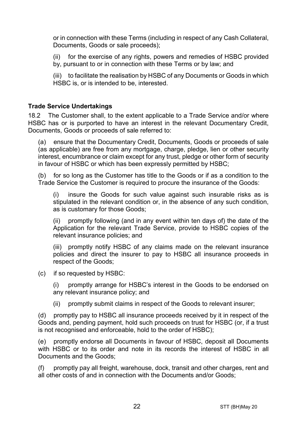or in connection with these Terms (including in respect of any Cash Collateral, Documents, Goods or sale proceeds);

(ii) for the exercise of any rights, powers and remedies of HSBC provided by, pursuant to or in connection with these Terms or by law; and

(iii) to facilitate the realisation by HSBC of any Documents or Goods in which HSBC is, or is intended to be, interested.

#### **Trade Service Undertakings**

18.2 The Customer shall, to the extent applicable to a Trade Service and/or where HSBC has or is purported to have an interest in the relevant Documentary Credit, Documents, Goods or proceeds of sale referred to:

(a) ensure that the Documentary Credit, Documents, Goods or proceeds of sale (as applicable) are free from any mortgage, charge, pledge, lien or other security interest, encumbrance or claim except for any trust, pledge or other form of security in favour of HSBC or which has been expressly permitted by HSBC;

(b) for so long as the Customer has title to the Goods or if as a condition to the Trade Service the Customer is required to procure the insurance of the Goods:

(i) insure the Goods for such value against such insurable risks as is stipulated in the relevant condition or, in the absence of any such condition, as is customary for those Goods;

(ii) promptly following (and in any event within ten days of) the date of the Application for the relevant Trade Service, provide to HSBC copies of the relevant insurance policies; and

(iii) promptly notify HSBC of any claims made on the relevant insurance policies and direct the insurer to pay to HSBC all insurance proceeds in respect of the Goods;

(c) if so requested by HSBC:

(i) promptly arrange for HSBC's interest in the Goods to be endorsed on any relevant insurance policy; and

(ii) promptly submit claims in respect of the Goods to relevant insurer;

(d) promptly pay to HSBC all insurance proceeds received by it in respect of the Goods and, pending payment, hold such proceeds on trust for HSBC (or, if a trust is not recognised and enforceable, hold to the order of HSBC);

(e) promptly endorse all Documents in favour of HSBC, deposit all Documents with HSBC or to its order and note in its records the interest of HSBC in all Documents and the Goods;

(f) promptly pay all freight, warehouse, dock, transit and other charges, rent and all other costs of and in connection with the Documents and/or Goods;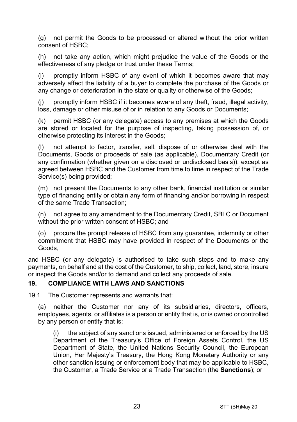(g) not permit the Goods to be processed or altered without the prior written consent of HSBC;

(h) not take any action, which might prejudice the value of the Goods or the effectiveness of any pledge or trust under these Terms;

(i) promptly inform HSBC of any event of which it becomes aware that may adversely affect the liability of a buyer to complete the purchase of the Goods or any change or deterioration in the state or quality or otherwise of the Goods;

(j) promptly inform HSBC if it becomes aware of any theft, fraud, illegal activity, loss, damage or other misuse of or in relation to any Goods or Documents;

(k) permit HSBC (or any delegate) access to any premises at which the Goods are stored or located for the purpose of inspecting, taking possession of, or otherwise protecting its interest in the Goods;

(l) not attempt to factor, transfer, sell, dispose of or otherwise deal with the Documents, Goods or proceeds of sale (as applicable), Documentary Credit (or any confirmation (whether given on a disclosed or undisclosed basis)), except as agreed between HSBC and the Customer from time to time in respect of the Trade Service(s) being provided;

(m) not present the Documents to any other bank, financial institution or similar type of financing entity or obtain any form of financing and/or borrowing in respect of the same Trade Transaction;

(n) not agree to any amendment to the Documentary Credit, SBLC or Document without the prior written consent of HSBC; and

(o) procure the prompt release of HSBC from any guarantee, indemnity or other commitment that HSBC may have provided in respect of the Documents or the Goods,

and HSBC (or any delegate) is authorised to take such steps and to make any payments, on behalf and at the cost of the Customer, to ship, collect, land, store, insure or inspect the Goods and/or to demand and collect any proceeds of sale.

#### <span id="page-22-0"></span>**19. COMPLIANCE WITH LAWS AND SANCTIONS**

19.1 The Customer represents and warrants that:

(a) neither the Customer nor any of its subsidiaries, directors, officers, employees, agents, or affiliates is a person or entity that is, or is owned or controlled by any person or entity that is:

(i) the subject of any sanctions issued, administered or enforced by the US Department of the Treasury's Office of Foreign Assets Control, the US Department of State, the United Nations Security Council, the European Union, Her Majesty's Treasury, the Hong Kong Monetary Authority or any other sanction issuing or enforcement body that may be applicable to HSBC, the Customer, a Trade Service or a Trade Transaction (the **Sanctions**); or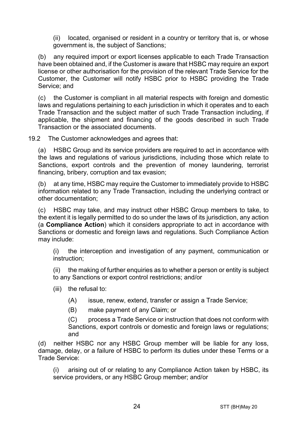(ii) located, organised or resident in a country or territory that is, or whose government is, the subject of Sanctions;

(b) any required import or export licenses applicable to each Trade Transaction have been obtained and, if the Customer is aware that HSBC may require an export license or other authorisation for the provision of the relevant Trade Service for the Customer, the Customer will notify HSBC prior to HSBC providing the Trade Service; and

(c) the Customer is compliant in all material respects with foreign and domestic laws and regulations pertaining to each jurisdiction in which it operates and to each Trade Transaction and the subject matter of such Trade Transaction including, if applicable, the shipment and financing of the goods described in such Trade Transaction or the associated documents.

19.2 The Customer acknowledges and agrees that:

(a) HSBC Group and its service providers are required to act in accordance with the laws and regulations of various jurisdictions, including those which relate to Sanctions, export controls and the prevention of money laundering, terrorist financing, bribery, corruption and tax evasion;

(b) at any time, HSBC may require the Customer to immediately provide to HSBC information related to any Trade Transaction, including the underlying contract or other documentation;

(c) HSBC may take, and may instruct other HSBC Group members to take, to the extent it is legally permitted to do so under the laws of its jurisdiction, any action (a **Compliance Action**) which it considers appropriate to act in accordance with Sanctions or domestic and foreign laws and regulations. Such Compliance Action may include:

(i) the interception and investigation of any payment, communication or instruction;

(ii) the making of further enquiries as to whether a person or entity is subject to any Sanctions or export control restrictions; and/or

- (iii) the refusal to:
	- (A) issue, renew, extend, transfer or assign a Trade Service;
	- (B) make payment of any Claim; or

(C) process a Trade Service or instruction that does not conform with Sanctions, export controls or domestic and foreign laws or regulations; and

(d) neither HSBC nor any HSBC Group member will be liable for any loss, damage, delay, or a failure of HSBC to perform its duties under these Terms or a Trade Service:

(i) arising out of or relating to any Compliance Action taken by HSBC, its service providers, or any HSBC Group member; and/or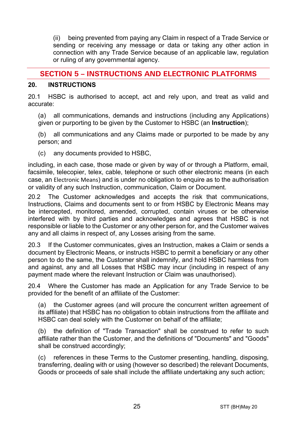(ii) being prevented from paying any Claim in respect of a Trade Service or sending or receiving any message or data or taking any other action in connection with any Trade Service because of an applicable law, regulation or ruling of any governmental agency.

# **SECTION 5 – INSTRUCTIONS AND ELECTRONIC PLATFORMS**

#### <span id="page-24-0"></span>**20. INSTRUCTIONS**

20.1 HSBC is authorised to accept, act and rely upon, and treat as valid and accurate:

(a) all communications, demands and instructions (including any Applications) given or purporting to be given by the Customer to HSBC (an **Instruction**);

(b) all communications and any Claims made or purported to be made by any person; and

(c) any documents provided to HSBC,

including, in each case, those made or given by way of or through a Platform, email, facsimile, telecopier, telex, cable, telephone or such other electronic means (in each case, an Electronic Means) and is under no obligation to enquire as to the authorisation or validity of any such Instruction, communication, Claim or Document.

20.2 The Customer acknowledges and accepts the risk that communications, Instructions, Claims and documents sent to or from HSBC by Electronic Means may be intercepted, monitored, amended, corrupted, contain viruses or be otherwise interfered with by third parties and acknowledges and agrees that HSBC is not responsible or liable to the Customer or any other person for, and the Customer waives any and all claims in respect of, any Losses arising from the same.

20.3 If the Customer communicates, gives an Instruction, makes a Claim or sends a document by Electronic Means, or instructs HSBC to permit a beneficiary or any other person to do the same, the Customer shall indemnify, and hold HSBC harmless from and against, any and all Losses that HSBC may incur (including in respect of any payment made where the relevant Instruction or Claim was unauthorised).

20.4 Where the Customer has made an Application for any Trade Service to be provided for the benefit of an affiliate of the Customer:

(a) the Customer agrees (and will procure the concurrent written agreement of its affiliate) that HSBC has no obligation to obtain instructions from the affiliate and HSBC can deal solely with the Customer on behalf of the affiliate;

(b) the definition of "Trade Transaction" shall be construed to refer to such affiliate rather than the Customer, and the definitions of "Documents" and "Goods" shall be construed accordingly;

(c) references in these Terms to the Customer presenting, handling, disposing, transferring, dealing with or using (however so described) the relevant Documents, Goods or proceeds of sale shall include the affiliate undertaking any such action;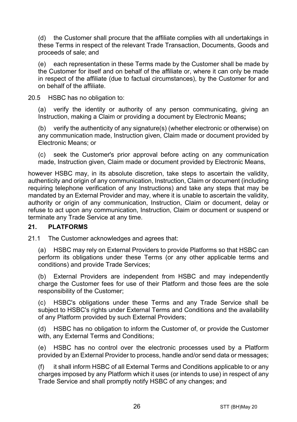(d) the Customer shall procure that the affiliate complies with all undertakings in these Terms in respect of the relevant Trade Transaction, Documents, Goods and proceeds of sale; and

(e) each representation in these Terms made by the Customer shall be made by the Customer for itself and on behalf of the affiliate or, where it can only be made in respect of the affiliate (due to factual circumstances), by the Customer for and on behalf of the affiliate.

20.5 HSBC has no obligation to:

(a) verify the identity or authority of any person communicating, giving an Instruction, making a Claim or providing a document by Electronic Means**;**

(b) verify the authenticity of any signature(s) (whether electronic or otherwise) on any communication made, Instruction given, Claim made or document provided by Electronic Means; or

(c) seek the Customer's prior approval before acting on any communication made, Instruction given, Claim made or document provided by Electronic Means,

however HSBC may, in its absolute discretion, take steps to ascertain the validity, authenticity and origin of any communication, Instruction, Claim or document (including requiring telephone verification of any Instructions) and take any steps that may be mandated by an External Provider and may, where it is unable to ascertain the validity, authority or origin of any communication, Instruction, Claim or document, delay or refuse to act upon any communication, Instruction, Claim or document or suspend or terminate any Trade Service at any time.

## **21. PLATFORMS**

21.1 The Customer acknowledges and agrees that:

(a) HSBC may rely on External Providers to provide Platforms so that HSBC can perform its obligations under these Terms (or any other applicable terms and conditions) and provide Trade Services;

(b) External Providers are independent from HSBC and may independently charge the Customer fees for use of their Platform and those fees are the sole responsibility of the Customer;

(c) HSBC's obligations under these Terms and any Trade Service shall be subject to HSBC's rights under External Terms and Conditions and the availability of any Platform provided by such External Providers;

(d) HSBC has no obligation to inform the Customer of, or provide the Customer with, any External Terms and Conditions;

(e) HSBC has no control over the electronic processes used by a Platform provided by an External Provider to process, handle and/or send data or messages;

(f) it shall inform HSBC of all External Terms and Conditions applicable to or any charges imposed by any Platform which it uses (or intends to use) in respect of any Trade Service and shall promptly notify HSBC of any changes; and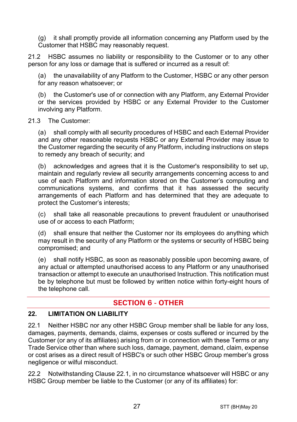(g) it shall promptly provide all information concerning any Platform used by the Customer that HSBC may reasonably request.

21.2 HSBC assumes no liability or responsibility to the Customer or to any other person for any loss or damage that is suffered or incurred as a result of:

the unavailability of any Platform to the Customer, HSBC or any other person for any reason whatsoever; or

(b) the Customer's use of or connection with any Platform, any External Provider or the services provided by HSBC or any External Provider to the Customer involving any Platform.

#### 21.3 The Customer:

(a) shall comply with all security procedures of HSBC and each External Provider and any other reasonable requests HSBC or any External Provider may issue to the Customer regarding the security of any Platform, including instructions on steps to remedy any breach of security; and

(b) acknowledges and agrees that it is the Customer's responsibility to set up, maintain and regularly review all security arrangements concerning access to and use of each Platform and information stored on the Customer's computing and communications systems, and confirms that it has assessed the security arrangements of each Platform and has determined that they are adequate to protect the Customer's interests;

(c) shall take all reasonable precautions to prevent fraudulent or unauthorised use of or access to each Platform;

(d) shall ensure that neither the Customer nor its employees do anything which may result in the security of any Platform or the systems or security of HSBC being compromised; and

(e) shall notify HSBC, as soon as reasonably possible upon becoming aware, of any actual or attempted unauthorised access to any Platform or any unauthorised transaction or attempt to execute an unauthorised Instruction. This notification must be by telephone but must be followed by written notice within forty-eight hours of the telephone call.

# **SECTION 6 - OTHER**

#### **22. LIMITATION ON LIABILITY**

<span id="page-26-0"></span>22.1 Neither HSBC nor any other HSBC Group member shall be liable for any loss, damages, payments, demands, claims, expenses or costs suffered or incurred by the Customer (or any of its affiliates) arising from or in connection with these Terms or any Trade Service other than where such loss, damage, payment, demand, claim, expense or cost arises as a direct result of HSBC's or such other HSBC Group member's gross negligence or wilful misconduct.

<span id="page-26-1"></span>22.2 Notwithstanding Clause [22.1,](#page-26-0) in no circumstance whatsoever will HSBC or any HSBC Group member be liable to the Customer (or any of its affiliates) for: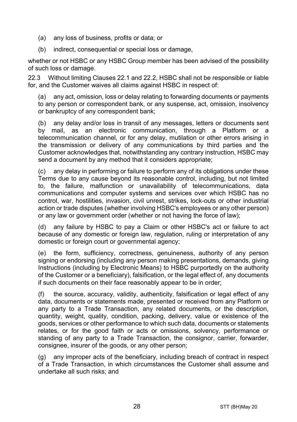- (a) any loss of business, profits or data; or
- (b) indirect, consequential or special loss or damage,

whether or not HSBC or any HSBC Group member has been advised of the possibility of such loss or damage.

22.3 Without limiting Clauses [22.1](#page-26-0) and [22.2,](#page-26-1) HSBC shall not be responsible or liable for, and the Customer waives all claims against HSBC in respect of:

(a) any act, omission, loss or delay relating to forwarding documents or payments to any person or correspondent bank, or any suspense, act, omission, insolvency or bankruptcy of any correspondent bank;

(b) any delay and/or loss in transit of any messages, letters or documents sent by mail, as an electronic communication, through a Platform or a telecommunication channel, or for any delay, mutilation or other errors arising in the transmission or delivery of any communications by third parties and the Customer acknowledges that, notwithstanding any contrary instruction, HSBC may send a document by any method that it considers appropriate;

(c) any delay in performing or failure to perform any of its obligations under these Terms due to any cause beyond its reasonable control, including, but not limited to, the failure, malfunction or unavailability of telecommunications, data communications and computer systems and services over which HSBC has no control, war, hostilities, invasion, civil unrest, strikes, lock-outs or other industrial action or trade disputes (whether involving HSBC's employees or any other person) or any law or government order (whether or not having the force of law);

(d) any failure by HSBC to pay a Claim or other HSBC's act or failure to act because of any domestic or foreign law, regulation, ruling or interpretation of any domestic or foreign court or governmental agency;

(e) the form, sufficiency, correctness, genuineness, authority of any person signing or endorsing (including any person making presentations, demands, giving Instructions (including by Electronic Means) to HSBC purportedly on the authority of the Customer or a beneficiary), falsification, or the legal effect of, any documents if such documents on their face reasonably appear to be in order;

(f) the source, accuracy, validity, authenticity, falsification or legal effect of any data, documents or statements made, presented or received from any Platform or any party to a Trade Transaction, any related documents, or the description, quantity, weight, quality, condition, packing, delivery, value or existence of the goods, services or other performance to which such data, documents or statements relates, or for the good faith or acts or omissions, solvency, performance or standing of any party to a Trade Transaction, the consignor, carrier, forwarder, consignee, insurer of the goods, or any other person;

(g) any improper acts of the beneficiary, including breach of contract in respect of a Trade Transaction, in which circumstances the Customer shall assume and undertake all such risks; and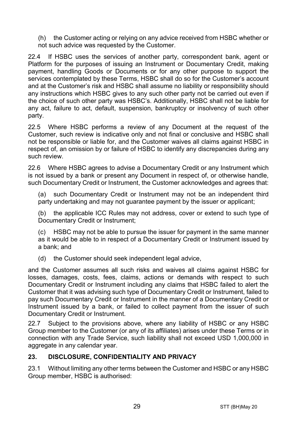(h) the Customer acting or relying on any advice received from HSBC whether or not such advice was requested by the Customer.

22.4 If HSBC uses the services of another party, correspondent bank, agent or Platform for the purposes of issuing an Instrument or Documentary Credit, making payment, handling Goods or Documents or for any other purpose to support the services contemplated by these Terms, HSBC shall do so for the Customer's account and at the Customer's risk and HSBC shall assume no liability or responsibility should any instructions which HSBC gives to any such other party not be carried out even if the choice of such other party was HSBC's. Additionally, HSBC shall not be liable for any act, failure to act, default, suspension, bankruptcy or insolvency of such other party.

22.5 Where HSBC performs a review of any Document at the request of the Customer, such review is indicative only and not final or conclusive and HSBC shall not be responsible or liable for, and the Customer waives all claims against HSBC in respect of, an omission by or failure of HSBC to identify any discrepancies during any such review.

22.6 Where HSBC agrees to advise a Documentary Credit or any Instrument which is not issued by a bank or present any Document in respect of, or otherwise handle, such Documentary Credit or Instrument, the Customer acknowledges and agrees that:

(a) such Documentary Credit or Instrument may not be an independent third party undertaking and may not quarantee payment by the issuer or applicant;

(b) the applicable ICC Rules may not address, cover or extend to such type of Documentary Credit or Instrument;

(c) HSBC may not be able to pursue the issuer for payment in the same manner as it would be able to in respect of a Documentary Credit or Instrument issued by a bank; and

(d) the Customer should seek independent legal advice,

and the Customer assumes all such risks and waives all claims against HSBC for losses, damages, costs, fees, claims, actions or demands with respect to such Documentary Credit or Instrument including any claims that HSBC failed to alert the Customer that it was advising such type of Documentary Credit or Instrument, failed to pay such Documentary Credit or Instrument in the manner of a Documentary Credit or Instrument issued by a bank, or failed to collect payment from the issuer of such Documentary Credit or Instrument.

22.7 Subject to the provisions above, where any liability of HSBC or any HSBC Group member to the Customer (or any of its affiliates) arises under these Terms or in connection with any Trade Service, such liability shall not exceed USD 1,000,000 in aggregate in any calendar year.

## <span id="page-28-0"></span>**23. DISCLOSURE, CONFIDENTIALITY AND PRIVACY**

23.1 Without limiting any other terms between the Customer and HSBC or any HSBC Group member, HSBC is authorised: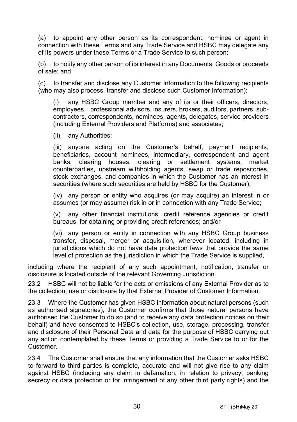<span id="page-29-0"></span>(a) to appoint any other person as its correspondent, nominee or agent in connection with these Terms and any Trade Service and HSBC may delegate any of its powers under these Terms or a Trade Service to such person;

(b) to notify any other person of its interest in any Documents, Goods or proceeds of sale; and

(c) to transfer and disclose any Customer Information to the following recipients (who may also process, transfer and disclose such Customer Information):

(i) any HSBC Group member and any of its or their officers, directors, employees, professional advisors, insurers, brokers, auditors, partners, subcontractors, correspondents, nominees, agents, delegates, service providers (including External Providers and Platforms) and associates;

(ii) any Authorities;

(iii) anyone acting on the Customer's behalf, payment recipients, beneficiaries, account nominees, intermediary, correspondent and agent banks, clearing houses, clearing or settlement systems, market counterparties, upstream withholding agents, swap or trade repositories, stock exchanges, and companies in which the Customer has an interest in securities (where such securities are held by HSBC for the Customer);

(iv) any person or entity who acquires (or may acquire) an interest in or assumes (or may assume) risk in or in connection with any Trade Service;

(v) any other financial institutions, credit reference agencies or credit bureaus, for obtaining or providing credit references; and/or

(vi) any person or entity in connection with any HSBC Group business transfer, disposal, merger or acquisition, wherever located, including in jurisdictions which do not have data protection laws that provide the same level of protection as the jurisdiction in which the Trade Service is supplied,

including where the recipient of any such appointment, notification, transfer or disclosure is located outside of the relevant Governing Jurisdiction.

23.2 HSBC will not be liable for the acts or omissions of any External Provider as to the collection, use or disclosure by that External Provider of Customer Information.

23.3 Where the Customer has given HSBC information about natural persons (such as authorised signatories), the Customer confirms that those natural persons have authorised the Customer to do so (and to receive any data protection notices on their behalf) and have consented to HSBC's collection, use, storage, processing, transfer and disclosure of their Personal Data and data for the purpose of HSBC carrying out any action contemplated by these Terms or providing a Trade Service to or for the Customer.

23.4 The Customer shall ensure that any information that the Customer asks HSBC to forward to third parties is complete, accurate and will not give rise to any claim against HSBC (including any claim in defamation, in relation to privacy, banking secrecy or data protection or for infringement of any other third party rights) and the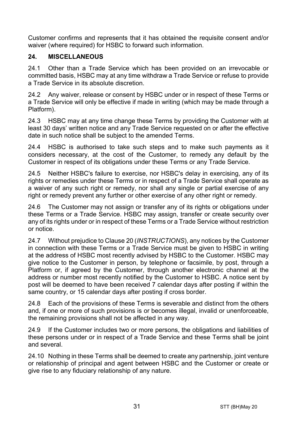Customer confirms and represents that it has obtained the requisite consent and/or waiver (where required) for HSBC to forward such information.

## **24. MISCELLANEOUS**

24.1 Other than a Trade Service which has been provided on an irrevocable or committed basis, HSBC may at any time withdraw a Trade Service or refuse to provide a Trade Service in its absolute discretion.

24.2 Any waiver, release or consent by HSBC under or in respect of these Terms or a Trade Service will only be effective if made in writing (which may be made through a Platform).

24.3 HSBC may at any time change these Terms by providing the Customer with at least 30 days' written notice and any Trade Service requested on or after the effective date in such notice shall be subject to the amended Terms.

24.4 HSBC is authorised to take such steps and to make such payments as it considers necessary, at the cost of the Customer, to remedy any default by the Customer in respect of its obligations under these Terms or any Trade Service.

24.5 Neither HSBC's failure to exercise, nor HSBC's delay in exercising, any of its rights or remedies under these Terms or in respect of a Trade Service shall operate as a waiver of any such right or remedy, nor shall any single or partial exercise of any right or remedy prevent any further or other exercise of any other right or remedy.

24.6 The Customer may not assign or transfer any of its rights or obligations under these Terms or a Trade Service. HSBC may assign, transfer or create security over any of its rights under or in respect of these Terms or a Trade Service without restriction or notice.

24.7 Without prejudice to Claus[e 20](#page-24-0) (*[INSTRUCTIONS](#page-24-0)*), any notices by the Customer in connection with these Terms or a Trade Service must be given to HSBC in writing at the address of HSBC most recently advised by HSBC to the Customer. HSBC may give notice to the Customer in person, by telephone or facsimile, by post, through a Platform or, if agreed by the Customer, through another electronic channel at the address or number most recently notified by the Customer to HSBC. A notice sent by post will be deemed to have been received 7 calendar days after posting if within the same country, or 15 calendar days after posting if cross border.

24.8 Each of the provisions of these Terms is severable and distinct from the others and, if one or more of such provisions is or becomes illegal, invalid or unenforceable, the remaining provisions shall not be affected in any way.

24.9 If the Customer includes two or more persons, the obligations and liabilities of these persons under or in respect of a Trade Service and these Terms shall be joint and several.

24.10 Nothing in these Terms shall be deemed to create any partnership, joint venture or relationship of principal and agent between HSBC and the Customer or create or give rise to any fiduciary relationship of any nature.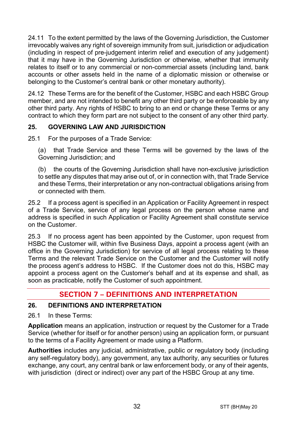24.11 To the extent permitted by the laws of the Governing Jurisdiction, the Customer irrevocably waives any right of sovereign immunity from suit, jurisdiction or adjudication (including in respect of pre-judgement interim relief and execution of any judgement) that it may have in the Governing Jurisdiction or otherwise, whether that immunity relates to itself or to any commercial or non-commercial assets (including land, bank accounts or other assets held in the name of a diplomatic mission or otherwise or belonging to the Customer's central bank or other monetary authority).

24.12 These Terms are for the benefit of the Customer, HSBC and each HSBC Group member, and are not intended to benefit any other third party or be enforceable by any other third party. Any rights of HSBC to bring to an end or change these Terms or any contract to which they form part are not subject to the consent of any other third party.

# **25. GOVERNING LAW AND JURISDICTION**

25.1 For the purposes of a Trade Service:

(a) that Trade Service and these Terms will be governed by the laws of the Governing Jurisdiction; and

(b) the courts of the Governing Jurisdiction shall have non-exclusive jurisdiction to settle any disputes that may arise out of, or in connection with, that Trade Service and these Terms, their interpretation or any non-contractual obligations arising from or connected with them.

25.2 If a process agent is specified in an Application or Facility Agreement in respect of a Trade Service, service of any legal process on the person whose name and address is specified in such Application or Facility Agreement shall constitute service on the Customer.

25.3 If no process agent has been appointed by the Customer, upon request from HSBC the Customer will, within five Business Days, appoint a process agent (with an office in the Governing Jurisdiction) for service of all legal process relating to these Terms and the relevant Trade Service on the Customer and the Customer will notify the process agent's address to HSBC. If the Customer does not do this, HSBC may appoint a process agent on the Customer's behalf and at its expense and shall, as soon as practicable, notify the Customer of such appointment.

# **SECTION 7 – DEFINITIONS AND INTERPRETATION**

## **26. DEFINITIONS AND INTERPRETATION**

26.1 In these Terms:

**Application** means an application, instruction or request by the Customer for a Trade Service (whether for itself or for another person) using an application form, or pursuant to the terms of a Facility Agreement or made using a Platform.

**Authorities** includes any judicial, administrative, public or regulatory body (including any self-regulatory body), any government, any tax authority, any securities or futures exchange, any court, any central bank or law enforcement body, or any of their agents, with jurisdiction (direct or indirect) over any part of the HSBC Group at any time.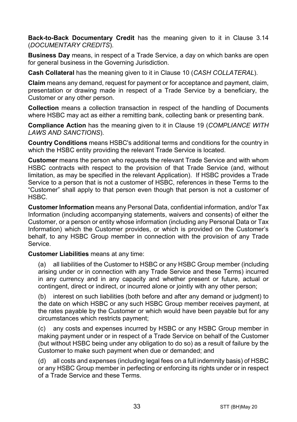**Back-to-Back Documentary Credit** has the meaning given to it in Clause [3.14](#page-5-0) (*[DOCUMENTARY CREDITS](#page-3-0)*).

**Business Day** means, in respect of a Trade Service, a day on which banks are open for general business in the Governing Jurisdiction.

**Cash Collateral** has the meaning given to it in Clause [10](#page-14-1) (*[CASH COLLATERAL](#page-14-1)*).

**Claim** means any demand, request for payment or for acceptance and payment, claim, presentation or drawing made in respect of a Trade Service by a beneficiary, the Customer or any other person.

**Collection** means a collection transaction in respect of the handling of Documents where HSBC may act as either a remitting bank, collecting bank or presenting bank.

**Compliance Action** has the meaning given to it in Clause [19](#page-22-0) (*[COMPLIANCE WITH](#page-22-0)  [LAWS AND SANCTIONS](#page-22-0)*).

**Country Conditions** means HSBC's additional terms and conditions for the country in which the HSBC entity providing the relevant Trade Service is located.

**Customer** means the person who requests the relevant Trade Service and with whom HSBC contracts with respect to the provision of that Trade Service (and, without limitation, as may be specified in the relevant Application). If HSBC provides a Trade Service to a person that is not a customer of HSBC, references in these Terms to the "Customer" shall apply to that person even though that person is not a customer of HSBC.

**Customer Information** means any Personal Data, confidential information, and/or Tax Information (including accompanying statements, waivers and consents) of either the Customer, or a person or entity whose information (including any Personal Data or Tax Information) which the Customer provides, or which is provided on the Customer's behalf, to any HSBC Group member in connection with the provision of any Trade Service.

**Customer Liabilities** means at any time:

(a) all liabilities of the Customer to HSBC or any HSBC Group member (including arising under or in connection with any Trade Service and these Terms) incurred in any currency and in any capacity and whether present or future, actual or contingent, direct or indirect, or incurred alone or jointly with any other person;

(b) interest on such liabilities (both before and after any demand or judgment) to the date on which HSBC or any such HSBC Group member receives payment, at the rates payable by the Customer or which would have been payable but for any circumstances which restricts payment;

(c) any costs and expenses incurred by HSBC or any HSBC Group member in making payment under or in respect of a Trade Service on behalf of the Customer (but without HSBC being under any obligation to do so) as a result of failure by the Customer to make such payment when due or demanded; and

(d) all costs and expenses (including legal fees on a full indemnity basis) of HSBC or any HSBC Group member in perfecting or enforcing its rights under or in respect of a Trade Service and these Terms.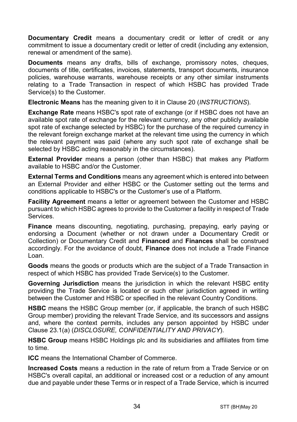**Documentary Credit** means a documentary credit or letter of credit or any commitment to issue a documentary credit or letter of credit (including any extension. renewal or amendment of the same).

**Documents** means any drafts, bills of exchange, promissory notes, cheques, documents of title, certificates, invoices, statements, transport documents, insurance policies, warehouse warrants, warehouse receipts or any other similar instruments relating to a Trade Transaction in respect of which HSBC has provided Trade Service(s) to the Customer.

**Electronic Means** has the meaning given to it in Clause [20](#page-24-0) (*[INSTRUCTIONS](#page-24-0)*).

**Exchange Rate** means HSBC's spot rate of exchange (or if HSBC does not have an available spot rate of exchange for the relevant currency, any other publicly available spot rate of exchange selected by HSBC) for the purchase of the required currency in the relevant foreign exchange market at the relevant time using the currency in which the relevant payment was paid (where any such spot rate of exchange shall be selected by HSBC acting reasonably in the circumstances).

**External Provider** means a person (other than HSBC) that makes any Platform available to HSBC and/or the Customer.

**External Terms and Conditions** means any agreement which is entered into between an External Provider and either HSBC or the Customer setting out the terms and conditions applicable to HSBC's or the Customer's use of a Platform.

**Facility Agreement** means a letter or agreement between the Customer and HSBC pursuant to which HSBC agrees to provide to the Customer a facility in respect of Trade Services.

**Finance** means discounting, negotiating, purchasing, prepaying, early paying or endorsing a Document (whether or not drawn under a Documentary Credit or Collection) or Documentary Credit and **Financed** and **Finances** shall be construed accordingly. For the avoidance of doubt, **Finance** does not include a Trade Finance Loan.

**Goods** means the goods or products which are the subject of a Trade Transaction in respect of which HSBC has provided Trade Service(s) to the Customer.

**Governing Jurisdiction** means the jurisdiction in which the relevant HSBC entity providing the Trade Service is located or such other jurisdiction agreed in writing between the Customer and HSBC or specified in the relevant Country Conditions.

**HSBC** means the HSBC Group member (or, if applicable, the branch of such HSBC Group member) providing the relevant Trade Service, and its successors and assigns and, where the context permits, includes any person appointed by HSBC under Clause [23.1\(a\)](#page-29-0) (*[DISCLOSURE, CONFIDENTIALITY AND PRIVACY](#page-28-0)*).

**HSBC Group** means HSBC Holdings plc and its subsidiaries and affiliates from time to time.

**ICC** means the International Chamber of Commerce.

**Increased Costs** means a reduction in the rate of return from a Trade Service or on HSBC's overall capital, an additional or increased cost or a reduction of any amount due and payable under these Terms or in respect of a Trade Service, which is incurred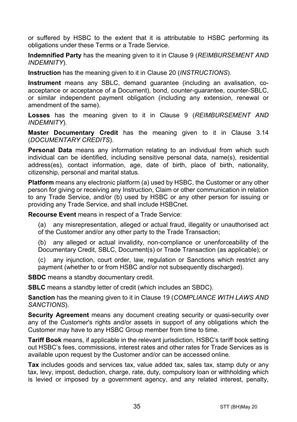or suffered by HSBC to the extent that it is attributable to HSBC performing its obligations under these Terms or a Trade Service.

**Indemnified Party** has the meaning given to it in Claus[e 9](#page-13-0) (*[REIMBURSEMENT AND](#page-13-0)  [INDEMNITY](#page-13-0)*).

**Instruction** has the meaning given to it in Clause [20](#page-24-0) (*[INSTRUCTIONS](#page-24-0)*).

**Instrument** means any SBLC, demand guarantee (including an avalisation, coacceptance or acceptance of a Document), bond, counter-guarantee, counter-SBLC, or similar independent payment obligation (including any extension, renewal or amendment of the same).

**Losses** has the meaning given to it in Clause [9](#page-13-0) (*[REIMBURSEMENT AND](#page-13-0)  [INDEMNITY](#page-13-0)*).

**Master Documentary Credit** has the meaning given to it in Clause [3.14](#page-5-0) (*[DOCUMENTARY CREDITS](#page-3-0)*).

**Personal Data** means any information relating to an individual from which such individual can be identified, including sensitive personal data, name(s), residential address(es), contact information, age, date of birth, place of birth, nationality, citizenship, personal and marital status.

**Platform** means any electronic platform (a) used by HSBC, the Customer or any other person for giving or receiving any Instruction, Claim or other communication in relation to any Trade Service, and/or (b) used by HSBC or any other person for issuing or providing any Trade Service, and shall include HSBCnet.

**Recourse Event** means in respect of a Trade Service:

(a) any misrepresentation, alleged or actual fraud, illegality or unauthorised act of the Customer and/or any other party to the Trade Transaction;

(b) any alleged or actual invalidity, non-compliance or unenforceability of the Documentary Credit, SBLC, Document(s) or Trade Transaction (as applicable); or

(c) any injunction, court order, law, regulation or Sanctions which restrict any payment (whether to or from HSBC and/or not subsequently discharged).

**SBDC** means a standby documentary credit.

**SBLC** means a standby letter of credit (which includes an SBDC).

**Sanction** has the meaning given to it in Clause [19](#page-22-0) (*[COMPLIANCE WITH LAWS AND](#page-22-0)  [SANCTIONS](#page-22-0)*).

**Security Agreement** means any document creating security or quasi-security over any of the Customer's rights and/or assets in support of any obligations which the Customer may have to any HSBC Group member from time to time.

**Tariff Book** means, if applicable in the relevant jurisdiction, HSBC's tariff book setting out HSBC's fees, commissions, interest rates and other rates for Trade Services as is available upon request by the Customer and/or can be accessed online.

**Tax** includes goods and services tax, value added tax, sales tax, stamp duty or any tax, levy, impost, deduction, charge, rate, duty, compulsory loan or withholding which is levied or imposed by a government agency, and any related interest, penalty,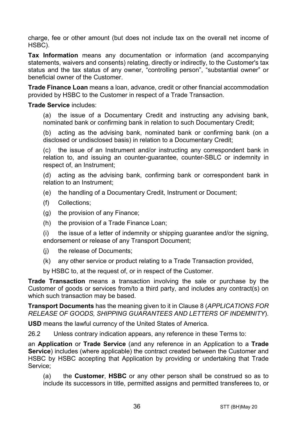charge, fee or other amount (but does not include tax on the overall net income of HSBC).

**Tax Information** means any documentation or information (and accompanying statements, waivers and consents) relating, directly or indirectly, to the Customer's tax status and the tax status of any owner, "controlling person", "substantial owner" or beneficial owner of the Customer.

**Trade Finance Loan** means a loan, advance, credit or other financial accommodation provided by HSBC to the Customer in respect of a Trade Transaction.

#### **Trade Service** includes:

(a) the issue of a Documentary Credit and instructing any advising bank, nominated bank or confirming bank in relation to such Documentary Credit;

(b) acting as the advising bank, nominated bank or confirming bank (on a disclosed or undisclosed basis) in relation to a Documentary Credit;

(c) the issue of an Instrument and/or instructing any correspondent bank in relation to, and issuing an counter-guarantee, counter-SBLC or indemnity in respect of, an Instrument;

(d) acting as the advising bank, confirming bank or correspondent bank in relation to an Instrument;

- (e) the handling of a Documentary Credit, Instrument or Document;
- (f) Collections;
- (g) the provision of any Finance;
- (h) the provision of a Trade Finance Loan;

(i) the issue of a letter of indemnity or shipping guarantee and/or the signing, endorsement or release of any Transport Document;

- (j) the release of Documents;
- (k) any other service or product relating to a Trade Transaction provided,

by HSBC to, at the request of, or in respect of the Customer.

**Trade Transaction** means a transaction involving the sale or purchase by the Customer of goods or services from/to a third party, and includes any contract(s) on which such transaction may be based.

**Transport Documents** has the meaning given to it in Clause [8](#page-12-0) (*[APPLICATIONS FOR](#page-12-0)  [RELEASE OF GOODS, SHIPPING GUARANTEES AND](#page-12-0) LETTERS OF INDEMNITY*).

**USD** means the lawful currency of the United States of America.

26.2 Unless contrary indication appears, any reference in these Terms to:

an **Application** or **Trade Service** (and any reference in an Application to a **Trade Service**) includes (where applicable) the contract created between the Customer and HSBC by HSBC accepting that Application by providing or undertaking that Trade Service;

(a) the **Customer**, **HSBC** or any other person shall be construed so as to include its successors in title, permitted assigns and permitted transferees to, or